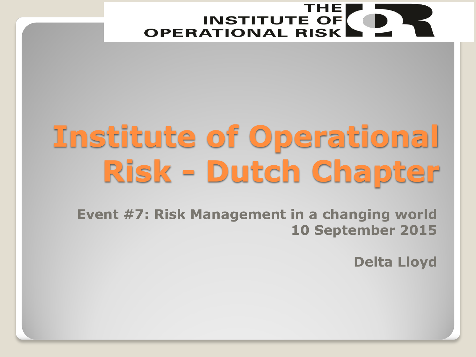

# **Institute of Operational Risk - Dutch Chapter**

**Event #7: Risk Management in a changing world 10 September 2015**

**Delta Lloyd**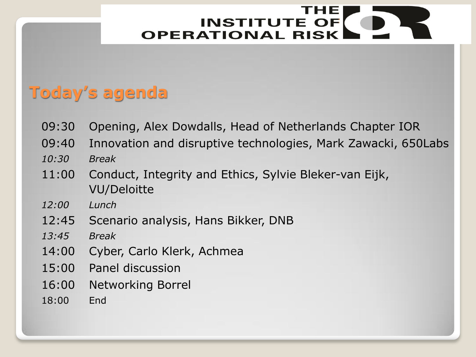## **Today's agenda**

- 09:30 Opening, Alex Dowdalls, Head of Netherlands Chapter IOR
- 09:40 Innovation and disruptive technologies, Mark Zawacki, 650Labs *10:30 Break*
- 11:00 Conduct, Integrity and Ethics, Sylvie Bleker-van Eijk, VU/Deloitte
- *12:00 Lunch*
- 12:45 Scenario analysis, Hans Bikker, DNB
- *13:45 Break*
- 14:00 Cyber, Carlo Klerk, Achmea
- 15:00 Panel discussion
- 16:00 Networking Borrel
- 18:00 End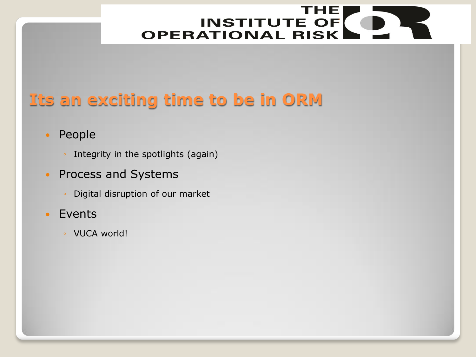## **Its an exciting time to be in ORM**

#### • People

- Integrity in the spotlights (again)
- Process and Systems
	- Digital disruption of our market
- Events
	- VUCA world!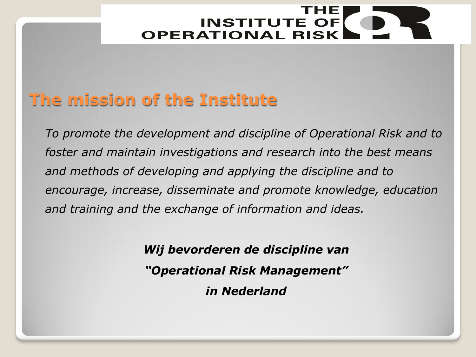#### **The mission of the Institute**

*To promote the development and discipline of Operational Risk and to foster and maintain investigations and research into the best means and methods of developing and applying the discipline and to encourage, increase, disseminate and promote knowledge, education and training and the exchange of information and ideas.*

> *Wij bevorderen de discipline van "Operational Risk Management" in Nederland*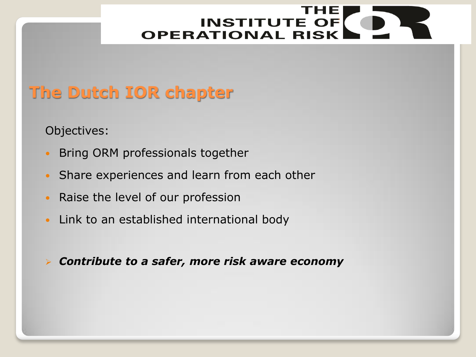## **The Dutch IOR chapter**

Objectives:

- Bring ORM professionals together
- Share experiences and learn from each other
- Raise the level of our profession
- Link to an established international body

*Contribute to a safer, more risk aware economy*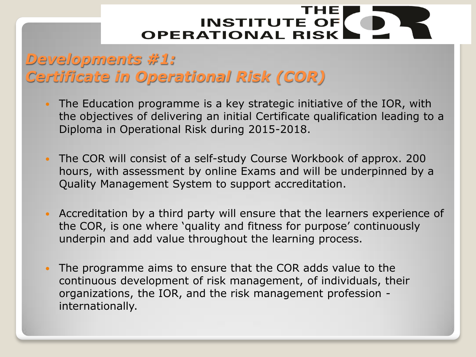#### *Developments #1: Certificate in Operational Risk (COR)*

- The Education programme is a key strategic initiative of the IOR, with the objectives of delivering an initial Certificate qualification leading to a Diploma in Operational Risk during 2015-2018.
- The COR will consist of a self-study Course Workbook of approx. 200 hours, with assessment by online Exams and will be underpinned by a Quality Management System to support accreditation.
- Accreditation by a third party will ensure that the learners experience of the COR, is one where 'quality and fitness for purpose' continuously underpin and add value throughout the learning process.
- The programme aims to ensure that the COR adds value to the continuous development of risk management, of individuals, their organizations, the IOR, and the risk management profession internationally.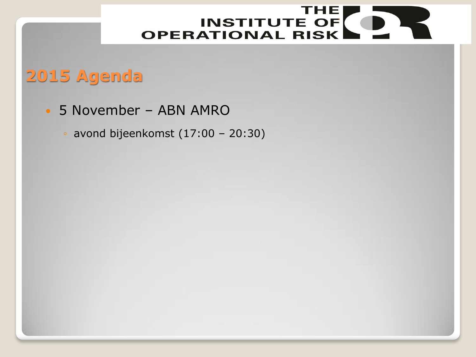## **2015 Agenda**

- 5 November ABN AMRO
	- avond bijeenkomst (17:00 20:30)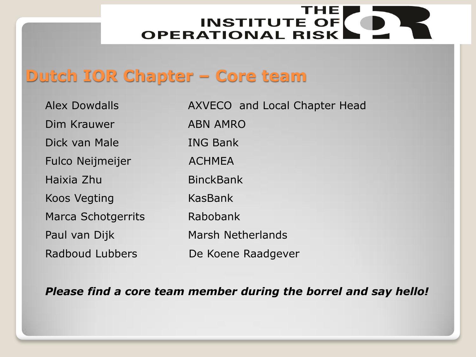#### **Dutch IOR Chapter – Core team**

| <b>Alex Dowdalls</b>      | AXVECO and Local Chapter Head |
|---------------------------|-------------------------------|
| Dim Krauwer               | <b>ABN AMRO</b>               |
| Dick van Male             | <b>ING Bank</b>               |
| <b>Fulco Neijmeijer</b>   | <b>ACHMEA</b>                 |
| Haixia Zhu                | <b>BinckBank</b>              |
| <b>Koos Vegting</b>       | KasBank                       |
| <b>Marca Schotgerrits</b> | Rabobank                      |
| Paul van Dijk             | <b>Marsh Netherlands</b>      |
| Radboud Lubbers           | De Koene Raadgever            |

*Please find a core team member during the borrel and say hello!*